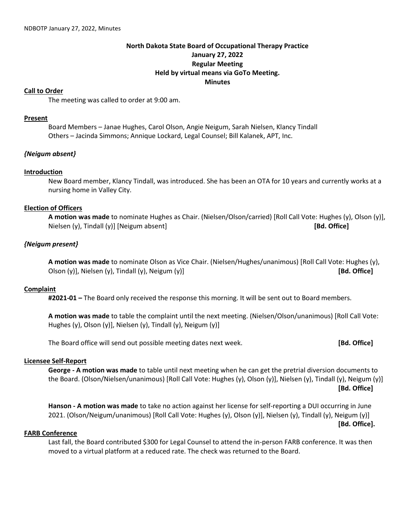# **North Dakota State Board of Occupational Therapy Practice January 27, 2022 Regular Meeting Held by virtual means via GoTo Meeting. Minutes**

#### **Call to Order**

The meeting was called to order at 9:00 am.

#### **Present**

Board Members – Janae Hughes, Carol Olson, Angie Neigum, Sarah Nielsen, Klancy Tindall Others – Jacinda Simmons; Annique Lockard, Legal Counsel; Bill Kalanek, APT, Inc.

# *{Neigum absent}*

#### **Introduction**

New Board member, Klancy Tindall, was introduced. She has been an OTA for 10 years and currently works at a nursing home in Valley City.

#### **Election of Officers**

**A motion was made** to nominate Hughes as Chair. (Nielsen/Olson/carried) [Roll Call Vote: Hughes (y), Olson (y)], Nielsen (y), Tindall (y)] [Neigum absent] **[Bd. Office]**

# *{Neigum present}*

**A motion was made** to nominate Olson as Vice Chair. (Nielsen/Hughes/unanimous) [Roll Call Vote: Hughes (y), Olson (y)], Nielsen (y), Tindall (y), Neigum (y)] **[Bd. Office]**

# **Complaint**

**#2021-01 –** The Board only received the response this morning. It will be sent out to Board members.

**A motion was made** to table the complaint until the next meeting. (Nielsen/Olson/unanimous) [Roll Call Vote: Hughes (y), Olson (y)], Nielsen (y), Tindall (y), Neigum (y)]

The Board office will send out possible meeting dates next week. **[Bd. Office]**

# **Licensee Self-Report**

**George - A motion was made** to table until next meeting when he can get the pretrial diversion documents to the Board. (Olson/Nielsen/unanimous) [Roll Call Vote: Hughes (y), Olson (y)], Nielsen (y), Tindall (y), Neigum (y)] **[Bd. Office]**

**Hanson - A motion was made** to take no action against her license for self-reporting a DUI occurring in June 2021. (Olson/Neigum/unanimous) [Roll Call Vote: Hughes (y), Olson (y)], Nielsen (y), Tindall (y), Neigum (y)]

**[Bd. Office].**

# **FARB Conference**

Last fall, the Board contributed \$300 for Legal Counsel to attend the in-person FARB conference. It was then moved to a virtual platform at a reduced rate. The check was returned to the Board.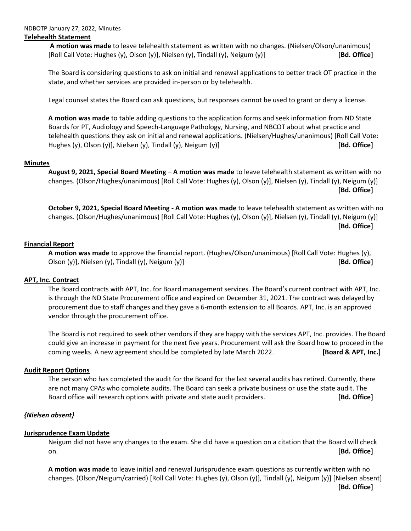#### NDBOTP January 27, 2022, Minutes **Telehealth Statement**

**A motion was made** to leave telehealth statement as written with no changes. (Nielsen/Olson/unanimous) [Roll Call Vote: Hughes (y), Olson (y)], Nielsen (y), Tindall (y), Neigum (y)] **[Bd. Office]**

The Board is considering questions to ask on initial and renewal applications to better track OT practice in the state, and whether services are provided in-person or by telehealth.

Legal counsel states the Board can ask questions, but responses cannot be used to grant or deny a license.

**A motion was made** to table adding questions to the application forms and seek information from ND State Boards for PT, Audiology and Speech-Language Pathology, Nursing, and NBCOT about what practice and telehealth questions they ask on initial and renewal applications. (Nielsen/Hughes/unanimous) [Roll Call Vote: Hughes (y), Olson (y)], Nielsen (y), Tindall (y), Neigum (y)] **[Bd. Office]**

# **Minutes**

**August 9, 2021, Special Board Meeting** – **A motion was made** to leave telehealth statement as written with no changes. (Olson/Hughes/unanimous) [Roll Call Vote: Hughes (y), Olson (y)], Nielsen (y), Tindall (y), Neigum (y)] **[Bd. Office]**

**October 9, 2021, Special Board Meeting - A motion was made** to leave telehealth statement as written with no changes. (Olson/Hughes/unanimous) [Roll Call Vote: Hughes (y), Olson (y)], Nielsen (y), Tindall (y), Neigum (y)] **[Bd. Office]**

# **Financial Report**

**A motion was made** to approve the financial report. (Hughes/Olson/unanimous) [Roll Call Vote: Hughes (y), Olson (y)], Nielsen (y), Tindall (y), Neigum (y)] **[Bd. Office]**

# **APT, Inc. Contract**

The Board contracts with APT, Inc. for Board management services. The Board's current contract with APT, Inc. is through the ND State Procurement office and expired on December 31, 2021. The contract was delayed by procurement due to staff changes and they gave a 6-month extension to all Boards. APT, Inc. is an approved vendor through the procurement office.

The Board is not required to seek other vendors if they are happy with the services APT, Inc. provides. The Board could give an increase in payment for the next five years. Procurement will ask the Board how to proceed in the coming weeks. A new agreement should be completed by late March 2022. **[Board & APT, Inc.]**

# **Audit Report Options**

The person who has completed the audit for the Board for the last several audits has retired. Currently, there are not many CPAs who complete audits. The Board can seek a private business or use the state audit. The Board office will research options with private and state audit providers. **[Bd. Office]**

# *{Nielsen absent}*

# **Jurisprudence Exam Update**

Neigum did not have any changes to the exam. She did have a question on a citation that the Board will check on. **[Bd. Office]**

**A motion was made** to leave initial and renewal Jurisprudence exam questions as currently written with no changes. (Olson/Neigum/carried) [Roll Call Vote: Hughes (y), Olson (y)], Tindall (y), Neigum (y)] [Nielsen absent] **[Bd. Office]**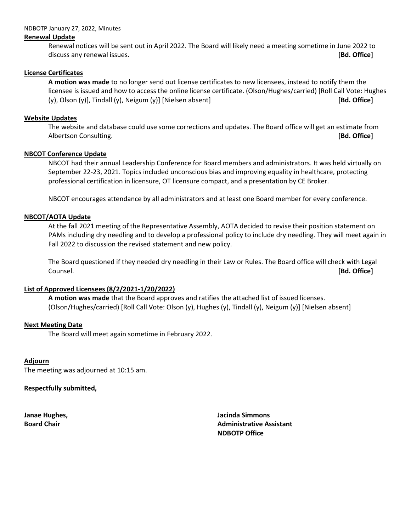#### NDBOTP January 27, 2022, Minutes

#### **Renewal Update**

Renewal notices will be sent out in April 2022. The Board will likely need a meeting sometime in June 2022 to discuss any renewal issues. **[Bd. Office]**

#### **License Certificates**

**A motion was made** to no longer send out license certificates to new licensees, instead to notify them the licensee is issued and how to access the online license certificate. (Olson/Hughes/carried) [Roll Call Vote: Hughes (y), Olson (y)], Tindall (y), Neigum (y)] [Nielsen absent] **[Bd. Office]**

#### **Website Updates**

The website and database could use some corrections and updates. The Board office will get an estimate from Albertson Consulting. **[Bd. Office]**

#### **NBCOT Conference Update**

NBCOT had their annual Leadership Conference for Board members and administrators. It was held virtually on September 22-23, 2021. Topics included unconscious bias and improving equality in healthcare, protecting professional certification in licensure, OT licensure compact, and a presentation by CE Broker.

NBCOT encourages attendance by all administrators and at least one Board member for every conference.

#### **NBCOT/AOTA Update**

At the fall 2021 meeting of the Representative Assembly, AOTA decided to revise their position statement on PAMs including dry needling and to develop a professional policy to include dry needling. They will meet again in Fall 2022 to discussion the revised statement and new policy.

The Board questioned if they needed dry needling in their Law or Rules. The Board office will check with Legal Counsel. **[Bd. Office]**

# **List of Approved Licensees (8/2/2021-1/20/2022)**

**A motion was made** that the Board approves and ratifies the attached list of issued licenses. (Olson/Hughes/carried) [Roll Call Vote: Olson (y), Hughes (y), Tindall (y), Neigum (y)] [Nielsen absent]

# **Next Meeting Date**

The Board will meet again sometime in February 2022.

#### **Adjourn**

The meeting was adjourned at 10:15 am.

#### **Respectfully submitted,**

**Janae Hughes, Jacinda Simmons Board Chair Administrative Assistant Administrative Assistant NDBOTP Office**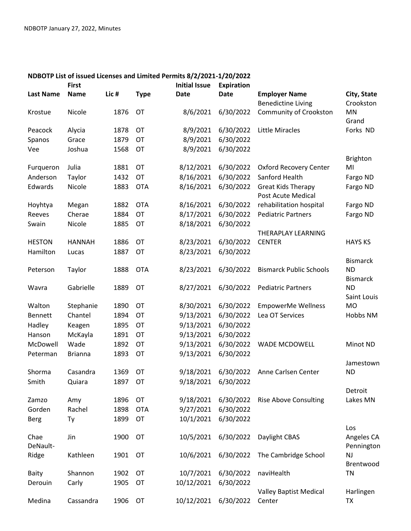|                  | <b>First</b>   |      |             | <b>Initial Issue</b> | <b>Expiration</b>   |                                |                 |
|------------------|----------------|------|-------------|----------------------|---------------------|--------------------------------|-----------------|
| <b>Last Name</b> | <b>Name</b>    | Lic# | <b>Type</b> | Date                 | <b>Date</b>         | <b>Employer Name</b>           | City, State     |
|                  |                |      |             |                      |                     | <b>Benedictine Living</b>      | Crookston       |
| Krostue          | Nicole         | 1876 | OT          | 8/6/2021             | 6/30/2022           | Community of Crookston         | MN              |
|                  |                |      |             |                      |                     |                                | Grand           |
| Peacock          | Alycia         | 1878 | OT          | 8/9/2021             | 6/30/2022           | <b>Little Miracles</b>         | Forks ND        |
| Spanos           | Grace          | 1879 | OT          | 8/9/2021             | 6/30/2022           |                                |                 |
| Vee              | Joshua         | 1568 | OT          | 8/9/2021             | 6/30/2022           |                                |                 |
|                  |                |      |             |                      |                     |                                | Brighton        |
| Furqueron        | Julia          | 1881 | OT          | 8/12/2021            | 6/30/2022           | <b>Oxford Recovery Center</b>  | MI              |
| Anderson         | Taylor         | 1432 | OT          | 8/16/2021            | 6/30/2022           | Sanford Health                 | Fargo ND        |
| Edwards          | Nicole         | 1883 | <b>OTA</b>  | 8/16/2021            | 6/30/2022           | <b>Great Kids Therapy</b>      | Fargo ND        |
|                  |                |      |             |                      |                     | Post Acute Medical             |                 |
| Hoyhtya          | Megan          | 1882 | <b>OTA</b>  | 8/16/2021            | 6/30/2022           | rehabilitation hospital        | Fargo ND        |
| Reeves           | Cherae         | 1884 | OT          | 8/17/2021            | 6/30/2022           | <b>Pediatric Partners</b>      | Fargo ND        |
| Swain            | Nicole         | 1885 | OT          | 8/18/2021            | 6/30/2022           |                                |                 |
|                  |                |      |             |                      |                     | THERAPLAY LEARNING             |                 |
| <b>HESTON</b>    | <b>HANNAH</b>  | 1886 | OT          | 8/23/2021            | 6/30/2022           | <b>CENTER</b>                  | <b>HAYS KS</b>  |
| Hamilton         | Lucas          | 1887 | OT          | 8/23/2021            | 6/30/2022           |                                |                 |
|                  |                |      |             |                      |                     |                                | <b>Bismarck</b> |
| Peterson         | Taylor         | 1888 | <b>OTA</b>  | 8/23/2021            | 6/30/2022           | <b>Bismarck Public Schools</b> | <b>ND</b>       |
|                  |                |      |             |                      |                     |                                | <b>Bismarck</b> |
| Wavra            | Gabrielle      | 1889 | OT          | 8/27/2021            | 6/30/2022           | <b>Pediatric Partners</b>      | <b>ND</b>       |
|                  |                |      |             |                      |                     |                                | Saint Louis     |
| Walton           | Stephanie      | 1890 | OT          | 8/30/2021            | 6/30/2022           | EmpowerMe Wellness             | <b>MO</b>       |
| <b>Bennett</b>   | Chantel        | 1894 | OT          | 9/13/2021            | 6/30/2022           | Lea OT Services                | Hobbs NM        |
| Hadley           | Keagen         | 1895 | OT          | 9/13/2021            | 6/30/2022           |                                |                 |
| Hanson           | McKayla        | 1891 | OT          | 9/13/2021            | 6/30/2022           |                                |                 |
| McDowell         | Wade           | 1892 | OT          | 9/13/2021            | 6/30/2022           | WADE MCDOWELL                  | Minot ND        |
| Peterman         | <b>Brianna</b> | 1893 | OT          | 9/13/2021            | 6/30/2022           |                                |                 |
|                  |                |      |             |                      |                     |                                | Jamestown       |
| Shorma           | Casandra       | 1369 | OT          | 9/18/2021            | 6/30/2022           | Anne Carlsen Center            | <b>ND</b>       |
| Smith            | Quiara         | 1897 | OT          |                      | 9/18/2021 6/30/2022 |                                |                 |
|                  |                |      |             |                      |                     |                                | Detroit         |
| Zamzo            | Amy            | 1896 | OT          | 9/18/2021            | 6/30/2022           | <b>Rise Above Consulting</b>   | Lakes MN        |
| Gorden           | Rachel         | 1898 | <b>OTA</b>  | 9/27/2021            | 6/30/2022           |                                |                 |
| <b>Berg</b>      | Ty             | 1899 | OT          | 10/1/2021            | 6/30/2022           |                                |                 |
|                  |                |      |             |                      |                     |                                | Los             |
| Chae             | Jin            | 1900 | OT          | 10/5/2021            | 6/30/2022           | Daylight CBAS                  | Angeles CA      |
| DeNault-         |                |      |             |                      |                     |                                | Pennington      |
| Ridge            | Kathleen       | 1901 | OT          | 10/6/2021            | 6/30/2022           | The Cambridge School           | <b>NJ</b>       |
|                  |                |      |             |                      |                     |                                | Brentwood       |
| <b>Baity</b>     | Shannon        | 1902 | OT          | 10/7/2021            | 6/30/2022           | naviHealth                     | <b>TN</b>       |
| Derouin          | Carly          | 1905 | OT          | 10/12/2021           | 6/30/2022           |                                |                 |
|                  |                |      |             |                      |                     | <b>Valley Baptist Medical</b>  | Harlingen       |
| Medina           | Cassandra      | 1906 | OT          | 10/12/2021           | 6/30/2022           | Center                         | <b>TX</b>       |

# **NDBOTP List of issued Licenses and Limited Permits 8/2/2021-1/20/2022**